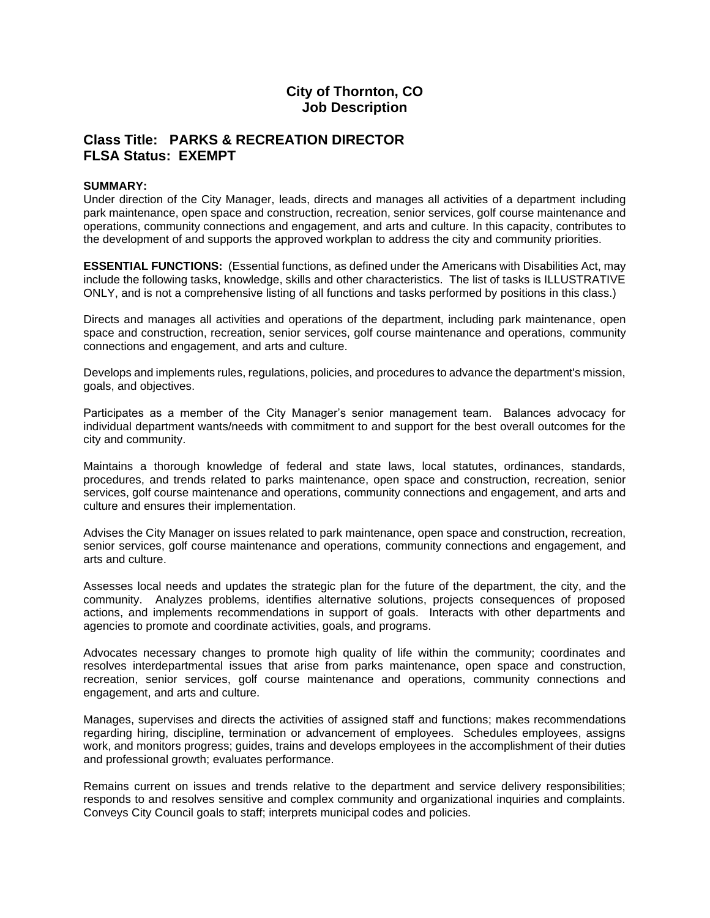# **City of Thornton, CO Job Description**

## **Class Title: PARKS & RECREATION DIRECTOR FLSA Status: EXEMPT**

#### **SUMMARY:**

Under direction of the City Manager, leads, directs and manages all activities of a department including park maintenance, open space and construction, recreation, senior services, golf course maintenance and operations, community connections and engagement, and arts and culture. In this capacity, contributes to the development of and supports the approved workplan to address the city and community priorities.

**ESSENTIAL FUNCTIONS:** (Essential functions, as defined under the Americans with Disabilities Act, may include the following tasks, knowledge, skills and other characteristics. The list of tasks is ILLUSTRATIVE ONLY, and is not a comprehensive listing of all functions and tasks performed by positions in this class.)

Directs and manages all activities and operations of the department, including park maintenance, open space and construction, recreation, senior services, golf course maintenance and operations, community connections and engagement, and arts and culture.

Develops and implements rules, regulations, policies, and procedures to advance the department's mission, goals, and objectives.

Participates as a member of the City Manager's senior management team. Balances advocacy for individual department wants/needs with commitment to and support for the best overall outcomes for the city and community.

Maintains a thorough knowledge of federal and state laws, local statutes, ordinances, standards, procedures, and trends related to parks maintenance, open space and construction, recreation, senior services, golf course maintenance and operations, community connections and engagement, and arts and culture and ensures their implementation.

Advises the City Manager on issues related to park maintenance, open space and construction, recreation, senior services, golf course maintenance and operations, community connections and engagement, and arts and culture.

Assesses local needs and updates the strategic plan for the future of the department, the city, and the community. Analyzes problems, identifies alternative solutions, projects consequences of proposed actions, and implements recommendations in support of goals. Interacts with other departments and agencies to promote and coordinate activities, goals, and programs.

Advocates necessary changes to promote high quality of life within the community; coordinates and resolves interdepartmental issues that arise from parks maintenance, open space and construction, recreation, senior services, golf course maintenance and operations, community connections and engagement, and arts and culture.

Manages, supervises and directs the activities of assigned staff and functions; makes recommendations regarding hiring, discipline, termination or advancement of employees. Schedules employees, assigns work, and monitors progress; guides, trains and develops employees in the accomplishment of their duties and professional growth; evaluates performance.

Remains current on issues and trends relative to the department and service delivery responsibilities; responds to and resolves sensitive and complex community and organizational inquiries and complaints. Conveys City Council goals to staff; interprets municipal codes and policies.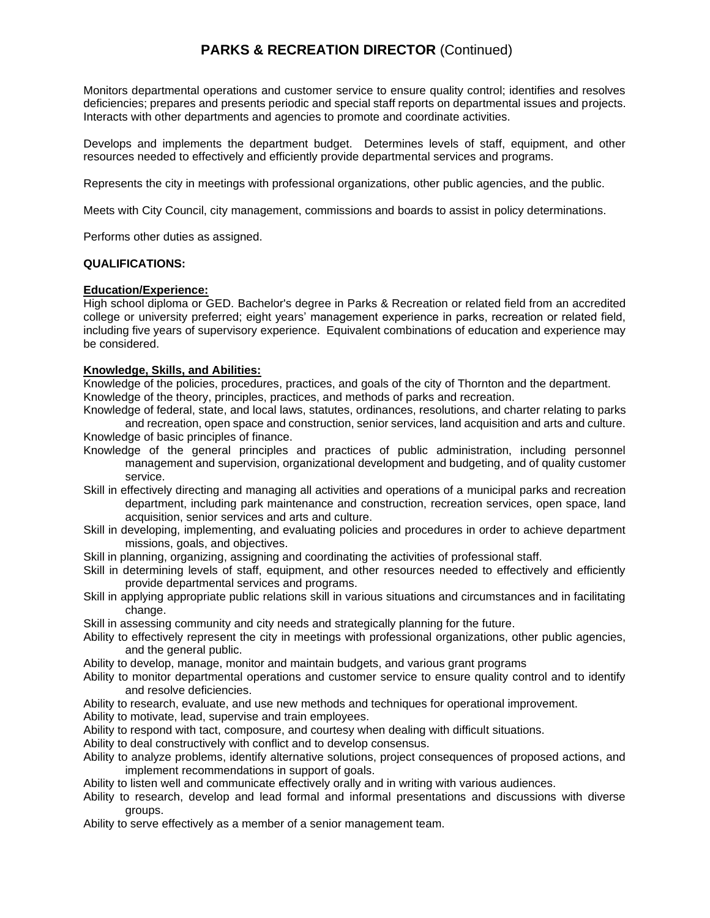# **PARKS & RECREATION DIRECTOR** (Continued)

Monitors departmental operations and customer service to ensure quality control; identifies and resolves deficiencies; prepares and presents periodic and special staff reports on departmental issues and projects. Interacts with other departments and agencies to promote and coordinate activities.

Develops and implements the department budget. Determines levels of staff, equipment, and other resources needed to effectively and efficiently provide departmental services and programs.

Represents the city in meetings with professional organizations, other public agencies, and the public.

Meets with City Council, city management, commissions and boards to assist in policy determinations.

Performs other duties as assigned.

## **QUALIFICATIONS:**

### **Education/Experience:**

High school diploma or GED. Bachelor's degree in Parks & Recreation or related field from an accredited college or university preferred; eight years' management experience in parks, recreation or related field, including five years of supervisory experience. Equivalent combinations of education and experience may be considered.

## **Knowledge, Skills, and Abilities:**

Knowledge of the policies, procedures, practices, and goals of the city of Thornton and the department. Knowledge of the theory, principles, practices, and methods of parks and recreation.

- Knowledge of federal, state, and local laws, statutes, ordinances, resolutions, and charter relating to parks and recreation, open space and construction, senior services, land acquisition and arts and culture. Knowledge of basic principles of finance.
- Knowledge of the general principles and practices of public administration, including personnel management and supervision, organizational development and budgeting, and of quality customer service.
- Skill in effectively directing and managing all activities and operations of a municipal parks and recreation department, including park maintenance and construction, recreation services, open space, land acquisition, senior services and arts and culture.
- Skill in developing, implementing, and evaluating policies and procedures in order to achieve department missions, goals, and objectives.
- Skill in planning, organizing, assigning and coordinating the activities of professional staff.
- Skill in determining levels of staff, equipment, and other resources needed to effectively and efficiently provide departmental services and programs.
- Skill in applying appropriate public relations skill in various situations and circumstances and in facilitating change.

Skill in assessing community and city needs and strategically planning for the future.

- Ability to effectively represent the city in meetings with professional organizations, other public agencies, and the general public.
- Ability to develop, manage, monitor and maintain budgets, and various grant programs
- Ability to monitor departmental operations and customer service to ensure quality control and to identify and resolve deficiencies.
- Ability to research, evaluate, and use new methods and techniques for operational improvement.
- Ability to motivate, lead, supervise and train employees.
- Ability to respond with tact, composure, and courtesy when dealing with difficult situations.
- Ability to deal constructively with conflict and to develop consensus.
- Ability to analyze problems, identify alternative solutions, project consequences of proposed actions, and implement recommendations in support of goals.
- Ability to listen well and communicate effectively orally and in writing with various audiences.
- Ability to research, develop and lead formal and informal presentations and discussions with diverse groups.
- Ability to serve effectively as a member of a senior management team.